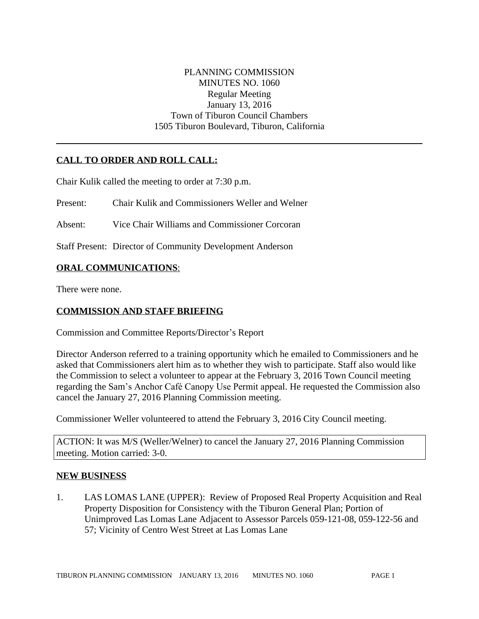## PLANNING COMMISSION MINUTES NO. 1060 Regular Meeting January 13, 2016 Town of Tiburon Council Chambers 1505 Tiburon Boulevard, Tiburon, California

# **CALL TO ORDER AND ROLL CALL:**

Chair Kulik called the meeting to order at 7:30 p.m.

Present: Chair Kulik and Commissioners Weller and Welner

Absent: Vice Chair Williams and Commissioner Corcoran

Staff Present: Director of Community Development Anderson

### **ORAL COMMUNICATIONS**:

There were none.

## **COMMISSION AND STAFF BRIEFING**

Commission and Committee Reports/Director's Report

Director Anderson referred to a training opportunity which he emailed to Commissioners and he asked that Commissioners alert him as to whether they wish to participate. Staff also would like the Commission to select a volunteer to appear at the February 3, 2016 Town Council meeting regarding the Sam's Anchor Café Canopy Use Permit appeal. He requested the Commission also cancel the January 27, 2016 Planning Commission meeting.

Commissioner Weller volunteered to attend the February 3, 2016 City Council meeting.

ACTION: It was M/S (Weller/Welner) to cancel the January 27, 2016 Planning Commission meeting. Motion carried: 3-0.

#### **NEW BUSINESS**

1. LAS LOMAS LANE (UPPER): Review of Proposed Real Property Acquisition and Real Property Disposition for Consistency with the Tiburon General Plan; Portion of Unimproved Las Lomas Lane Adjacent to Assessor Parcels 059-121-08, 059-122-56 and 57; Vicinity of Centro West Street at Las Lomas Lane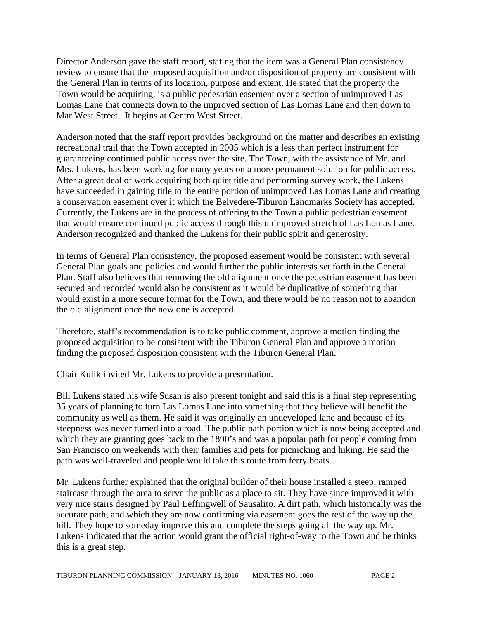Director Anderson gave the staff report, stating that the item was a General Plan consistency review to ensure that the proposed acquisition and/or disposition of property are consistent with the General Plan in terms of its location, purpose and extent. He stated that the property the Town would be acquiring, is a public pedestrian easement over a section of unimproved Las Lomas Lane that connects down to the improved section of Las Lomas Lane and then down to Mar West Street. It begins at Centro West Street.

Anderson noted that the staff report provides background on the matter and describes an existing recreational trail that the Town accepted in 2005 which is a less than perfect instrument for guaranteeing continued public access over the site. The Town, with the assistance of Mr. and Mrs. Lukens, has been working for many years on a more permanent solution for public access. After a great deal of work acquiring both quiet title and performing survey work, the Lukens have succeeded in gaining title to the entire portion of unimproved Las Lomas Lane and creating a conservation easement over it which the Belvedere-Tiburon Landmarks Society has accepted. Currently, the Lukens are in the process of offering to the Town a public pedestrian easement that would ensure continued public access through this unimproved stretch of Las Lomas Lane. Anderson recognized and thanked the Lukens for their public spirit and generosity.

In terms of General Plan consistency, the proposed easement would be consistent with several General Plan goals and policies and would further the public interests set forth in the General Plan. Staff also believes that removing the old alignment once the pedestrian easement has been secured and recorded would also be consistent as it would be duplicative of something that would exist in a more secure format for the Town, and there would be no reason not to abandon the old alignment once the new one is accepted.

Therefore, staff's recommendation is to take public comment, approve a motion finding the proposed acquisition to be consistent with the Tiburon General Plan and approve a motion finding the proposed disposition consistent with the Tiburon General Plan.

Chair Kulik invited Mr. Lukens to provide a presentation.

Bill Lukens stated his wife Susan is also present tonight and said this is a final step representing 35 years of planning to turn Las Lomas Lane into something that they believe will benefit the community as well as them. He said it was originally an undeveloped lane and because of its steepness was never turned into a road. The public path portion which is now being accepted and which they are granting goes back to the 1890's and was a popular path for people coming from San Francisco on weekends with their families and pets for picnicking and hiking. He said the path was well-traveled and people would take this route from ferry boats.

Mr. Lukens further explained that the original builder of their house installed a steep, ramped staircase through the area to serve the public as a place to sit. They have since improved it with very nice stairs designed by Paul Leffingwell of Sausalito. A dirt path, which historically was the accurate path, and which they are now confirming via easement goes the rest of the way up the hill. They hope to someday improve this and complete the steps going all the way up. Mr. Lukens indicated that the action would grant the official right-of-way to the Town and he thinks this is a great step.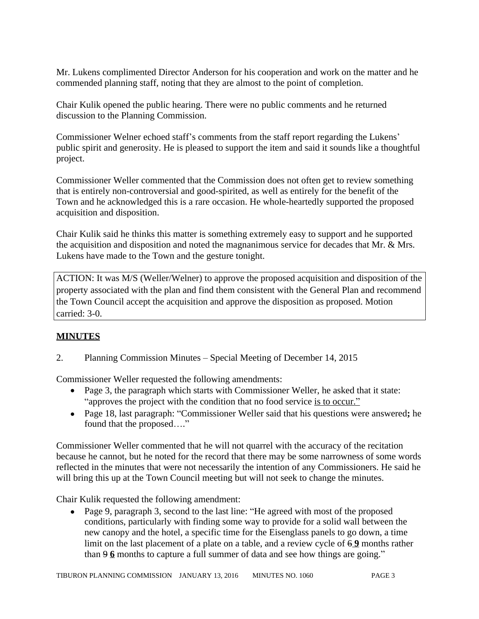Mr. Lukens complimented Director Anderson for his cooperation and work on the matter and he commended planning staff, noting that they are almost to the point of completion.

Chair Kulik opened the public hearing. There were no public comments and he returned discussion to the Planning Commission.

Commissioner Welner echoed staff's comments from the staff report regarding the Lukens' public spirit and generosity. He is pleased to support the item and said it sounds like a thoughtful project.

Commissioner Weller commented that the Commission does not often get to review something that is entirely non-controversial and good-spirited, as well as entirely for the benefit of the Town and he acknowledged this is a rare occasion. He whole-heartedly supported the proposed acquisition and disposition.

Chair Kulik said he thinks this matter is something extremely easy to support and he supported the acquisition and disposition and noted the magnanimous service for decades that Mr. & Mrs. Lukens have made to the Town and the gesture tonight.

ACTION: It was M/S (Weller/Welner) to approve the proposed acquisition and disposition of the property associated with the plan and find them consistent with the General Plan and recommend the Town Council accept the acquisition and approve the disposition as proposed. Motion carried: 3-0.

# **MINUTES**

2. Planning Commission Minutes – Special Meeting of December 14, 2015

Commissioner Weller requested the following amendments:

- Page 3, the paragraph which starts with Commissioner Weller, he asked that it state: "approves the project with the condition that no food service is to occur."
- Page 18, last paragraph: "Commissioner Weller said that his questions were answered**;** he found that the proposed…."

Commissioner Weller commented that he will not quarrel with the accuracy of the recitation because he cannot, but he noted for the record that there may be some narrowness of some words reflected in the minutes that were not necessarily the intention of any Commissioners. He said he will bring this up at the Town Council meeting but will not seek to change the minutes.

Chair Kulik requested the following amendment:

• Page 9, paragraph 3, second to the last line: "He agreed with most of the proposed conditions, particularly with finding some way to provide for a solid wall between the new canopy and the hotel, a specific time for the Eisenglass panels to go down, a time limit on the last placement of a plate on a table, and a review cycle of  $69$  months rather than 9 **6** months to capture a full summer of data and see how things are going."